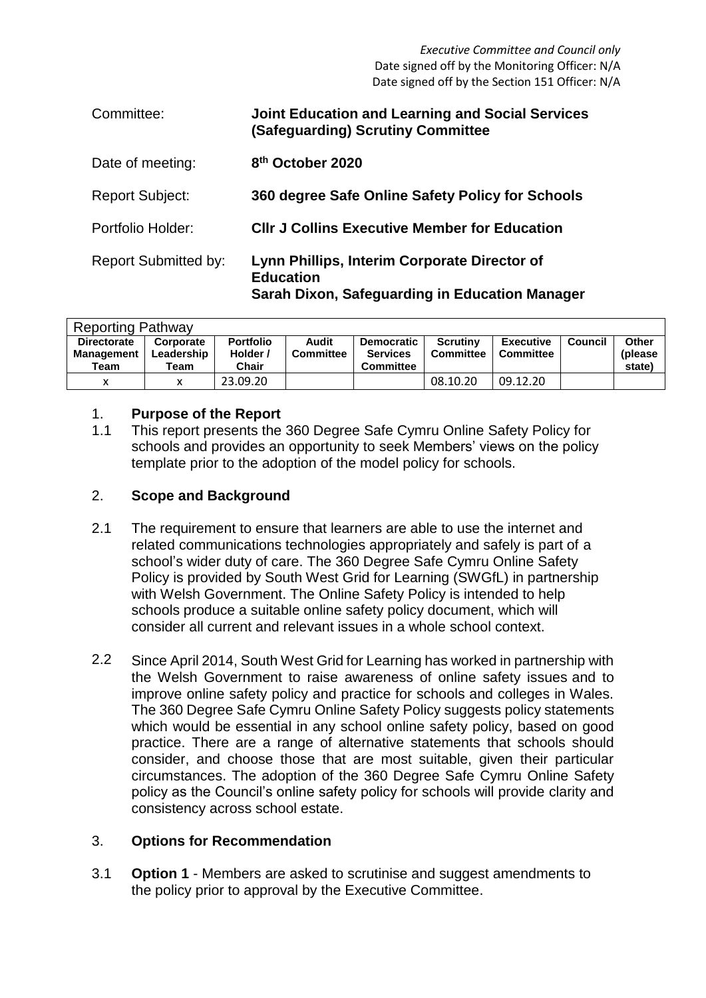*Executive Committee and Council only* Date signed off by the Monitoring Officer: N/A Date signed off by the Section 151 Officer: N/A

| Committee:                  | <b>Joint Education and Learning and Social Services</b><br>(Safeguarding) Scrutiny Committee                       |
|-----------------------------|--------------------------------------------------------------------------------------------------------------------|
| Date of meeting:            | 8 <sup>th</sup> October 2020                                                                                       |
| <b>Report Subject:</b>      | 360 degree Safe Online Safety Policy for Schools                                                                   |
| Portfolio Holder:           | <b>CIIr J Collins Executive Member for Education</b>                                                               |
| <b>Report Submitted by:</b> | Lynn Phillips, Interim Corporate Director of<br><b>Education</b><br>Sarah Dixon, Safeguarding in Education Manager |

| <b>Reporting Pathway</b>                        |                                 |                                       |                           |                                                          |                              |                               |         |                             |  |  |
|-------------------------------------------------|---------------------------------|---------------------------------------|---------------------------|----------------------------------------------------------|------------------------------|-------------------------------|---------|-----------------------------|--|--|
| <b>Directorate</b><br><b>Management</b><br>Team | Corporate<br>Leadership<br>Team | <b>Portfolio</b><br>Holder /<br>Chair | Audit<br><b>Committee</b> | <b>Democratic</b><br><b>Services</b><br><b>Committee</b> | <b>Scrutiny</b><br>Committee | <b>Executive</b><br>Committee | Council | Other<br>(please)<br>state) |  |  |
| v                                               | v                               | 23.09.20                              |                           |                                                          | 08.10.20                     | 09.12.20                      |         |                             |  |  |

# 1. **Purpose of the Report**

1.1 This report presents the 360 Degree Safe Cymru Online Safety Policy for schools and provides an opportunity to seek Members' views on the policy template prior to the adoption of the model policy for schools.

# 2. **Scope and Background**

- 2.1 The requirement to ensure that learners are able to use the internet and related communications technologies appropriately and safely is part of a school's wider duty of care. The 360 Degree Safe Cymru Online Safety Policy is provided by South West Grid for Learning (SWGfL) in partnership with Welsh Government. The Online Safety Policy is intended to help schools produce a suitable online safety policy document, which will consider all current and relevant issues in a whole school context.
- 2.2 Since April 2014, South West Grid for Learning has worked in partnership with the Welsh Government to raise awareness of online safety issues and to improve online safety policy and practice for schools and colleges in Wales. The 360 Degree Safe Cymru Online Safety Policy suggests policy statements which would be essential in any school online safety policy, based on good practice. There are a range of alternative statements that schools should consider, and choose those that are most suitable, given their particular circumstances. The adoption of the 360 Degree Safe Cymru Online Safety policy as the Council's online safety policy for schools will provide clarity and consistency across school estate.

# 3. **Options for Recommendation**

3.1 **Option 1** - Members are asked to scrutinise and suggest amendments to the policy prior to approval by the Executive Committee.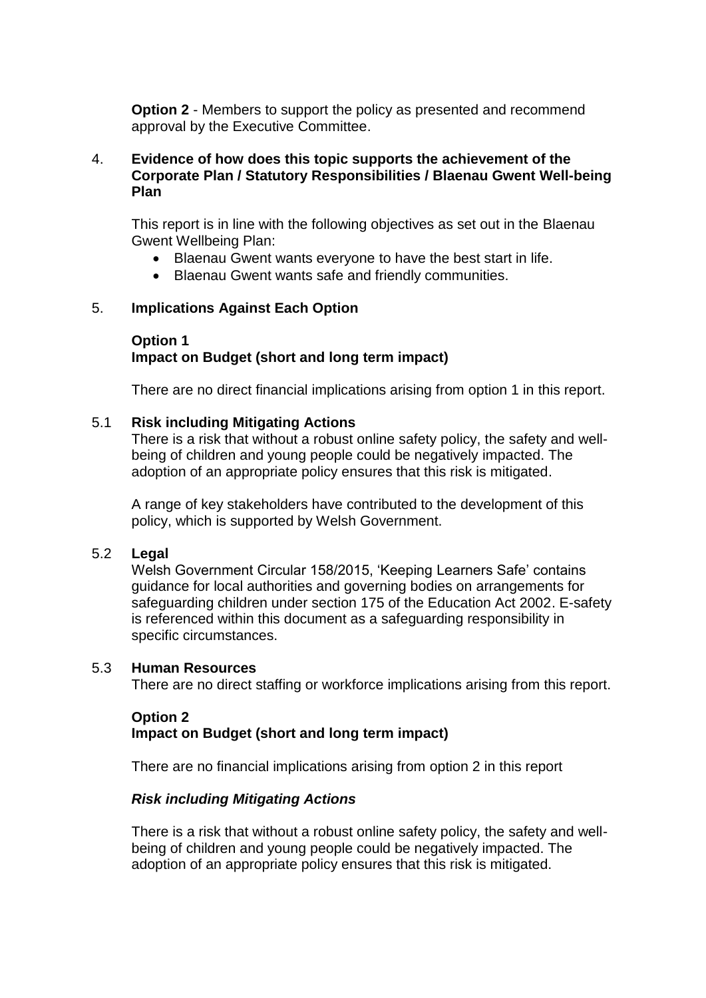**Option 2** - Members to support the policy as presented and recommend approval by the Executive Committee.

### 4. **Evidence of how does this topic supports the achievement of the Corporate Plan / Statutory Responsibilities / Blaenau Gwent Well-being Plan**

This report is in line with the following objectives as set out in the Blaenau Gwent Wellbeing Plan:

- Blaenau Gwent wants everyone to have the best start in life.
- Blaenau Gwent wants safe and friendly communities.

### 5. **Implications Against Each Option**

# **Option 1 Impact on Budget (short and long term impact)**

There are no direct financial implications arising from option 1 in this report.

### 5.1 **Risk including Mitigating Actions**

There is a risk that without a robust online safety policy, the safety and wellbeing of children and young people could be negatively impacted. The adoption of an appropriate policy ensures that this risk is mitigated.

A range of key stakeholders have contributed to the development of this policy, which is supported by Welsh Government.

#### 5.2 **Legal**

Welsh Government Circular 158/2015, 'Keeping Learners Safe' contains guidance for local authorities and governing bodies on arrangements for safeguarding children under section 175 of the Education Act 2002. E-safety is referenced within this document as a safeguarding responsibility in specific circumstances.

#### 5.3 **Human Resources**

There are no direct staffing or workforce implications arising from this report.

# **Option 2 Impact on Budget (short and long term impact)**

There are no financial implications arising from option 2 in this report

# *Risk including Mitigating Actions*

There is a risk that without a robust online safety policy, the safety and wellbeing of children and young people could be negatively impacted. The adoption of an appropriate policy ensures that this risk is mitigated.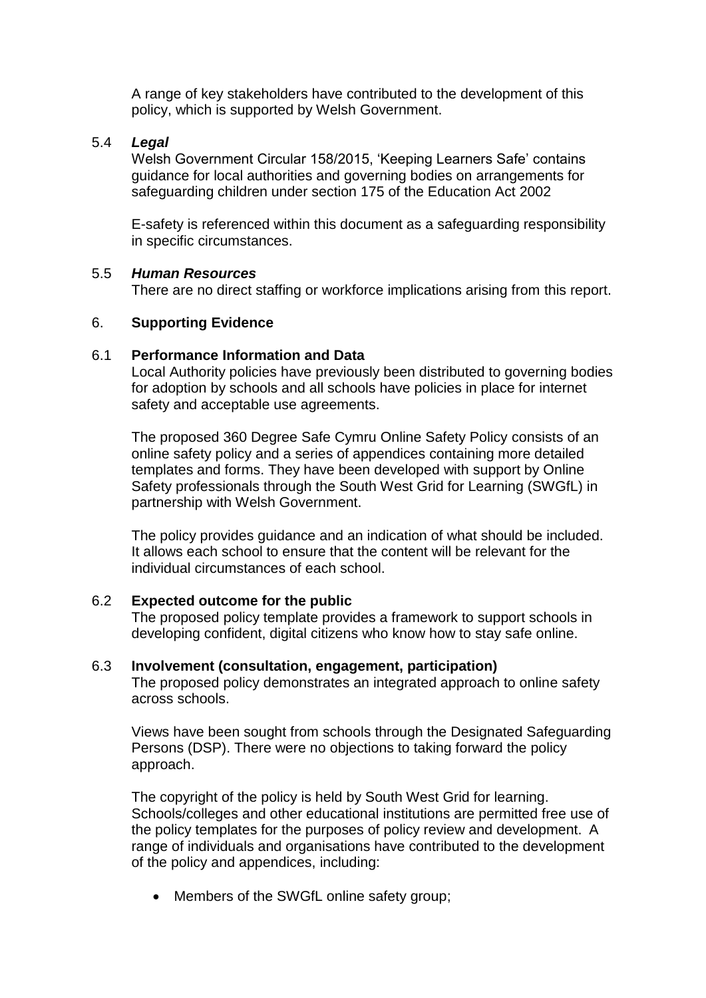A range of key stakeholders have contributed to the development of this policy, which is supported by Welsh Government.

### 5.4 *Legal*

Welsh Government Circular 158/2015, 'Keeping Learners Safe' contains guidance for local authorities and governing bodies on arrangements for safeguarding children under section 175 of the Education Act 2002

E-safety is referenced within this document as a safeguarding responsibility in specific circumstances.

#### 5.5 *Human Resources*

There are no direct staffing or workforce implications arising from this report.

### 6. **Supporting Evidence**

# 6.1 **Performance Information and Data**

Local Authority policies have previously been distributed to governing bodies for adoption by schools and all schools have policies in place for internet safety and acceptable use agreements.

The proposed 360 Degree Safe Cymru Online Safety Policy consists of an online safety policy and a series of appendices containing more detailed templates and forms. They have been developed with support by Online Safety professionals through the South West Grid for Learning (SWGfL) in partnership with Welsh Government.

The policy provides guidance and an indication of what should be included. It allows each school to ensure that the content will be relevant for the individual circumstances of each school.

### 6.2 **Expected outcome for the public**

The proposed policy template provides a framework to support schools in developing confident, digital citizens who know how to stay safe online.

# 6.3 **Involvement (consultation, engagement, participation)**

The proposed policy demonstrates an integrated approach to online safety across schools.

Views have been sought from schools through the Designated Safeguarding Persons (DSP). There were no objections to taking forward the policy approach.

The copyright of the policy is held by South West Grid for learning. Schools/colleges and other educational institutions are permitted free use of the policy templates for the purposes of policy review and development. A range of individuals and organisations have contributed to the development of the policy and appendices, including:

• Members of the SWGfL online safety group;